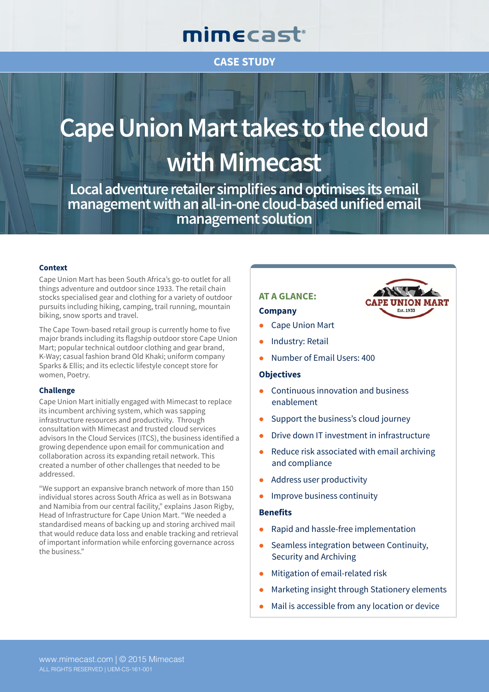## mimecast®

### **CASE STUDY**

# **Cape Union Mart takes to the cloud with Mimecast**

**Local adventure retailer simplifies and optimises its email management with an all-in-one cloud-based unified email management solution**

#### **Context**

Cape Union Mart has been South Africa's go-to outlet for all things adventure and outdoor since 1933. The retail chain stocks specialised gear and clothing for a variety of outdoor pursuits including hiking, camping, trail running, mountain biking, snow sports and travel.

The Cape Town-based retail group is currently home to five major brands including its flagship outdoor store Cape Union Mart; popular technical outdoor clothing and gear brand, K-Way; casual fashion brand Old Khaki; uniform company Sparks & Ellis; and its eclectic lifestyle concept store for women, Poetry.

#### **Challenge**

Cape Union Mart initially engaged with Mimecast to replace its incumbent archiving system, which was sapping infrastructure resources and productivity. Through consultation with Mimecast and trusted cloud services advisors In the Cloud Services (ITCS), the business identified a growing dependence upon email for communication and collaboration across its expanding retail network. This created a number of other challenges that needed to be addressed.

"We support an expansive branch network of more than 150 individual stores across South Africa as well as in Botswana and Namibia from our central facility," explains Jason Rigby, Head of Infrastructure for Cape Union Mart. "We needed a standardised means of backing up and storing archived mail that would reduce data loss and enable tracking and retrieval of important information while enforcing governance across the business."

#### **AT A GLANCE:**

#### **Company**

- **Cape Union Mart**
- Industry: Retail
- Number of Email Users: 400

#### **Objectives**

- Continuous innovation and business enablement
- Support the business's cloud journey
- Drive down IT investment in infrastructure

**ON MART** 

Fet 1933

- Reduce risk associated with email archiving and compliance
- Address user productivity
- Improve business continuity

#### **Benefits**

- Rapid and hassle-free implementation
- Seamless integration between Continuity, Security and Archiving
- Mitigation of email-related risk
- Marketing insight through Stationery elements
- Mail is accessible from any location or device